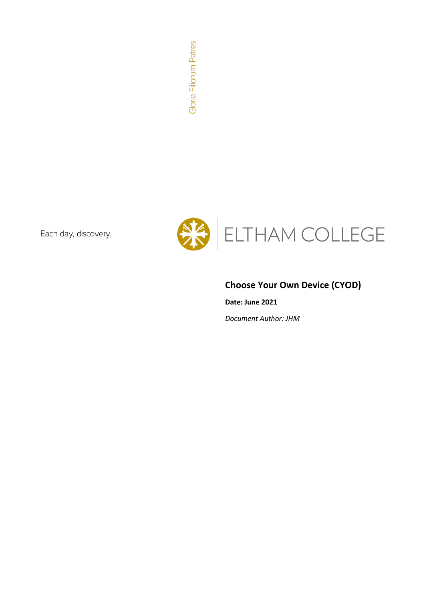Gloria Filiorum Patres

Each day, discovery.



# **Choose Your Own Device (CYOD)**

**Date: June 2021**

*Document Author: JHM*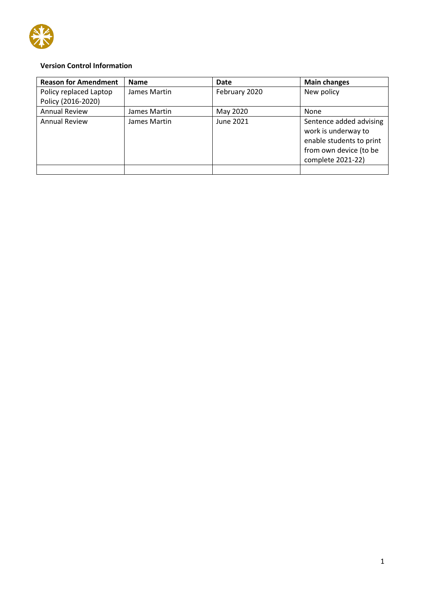

#### **Version Control Information**

| <b>Reason for Amendment</b> | Name         | Date          | <b>Main changes</b>                                                                                                       |
|-----------------------------|--------------|---------------|---------------------------------------------------------------------------------------------------------------------------|
| Policy replaced Laptop      | James Martin | February 2020 | New policy                                                                                                                |
| Policy (2016-2020)          |              |               |                                                                                                                           |
| <b>Annual Review</b>        | James Martin | May 2020      | None                                                                                                                      |
| <b>Annual Review</b>        | James Martin | June 2021     | Sentence added advising<br>work is underway to<br>enable students to print<br>from own device (to be<br>complete 2021-22) |
|                             |              |               |                                                                                                                           |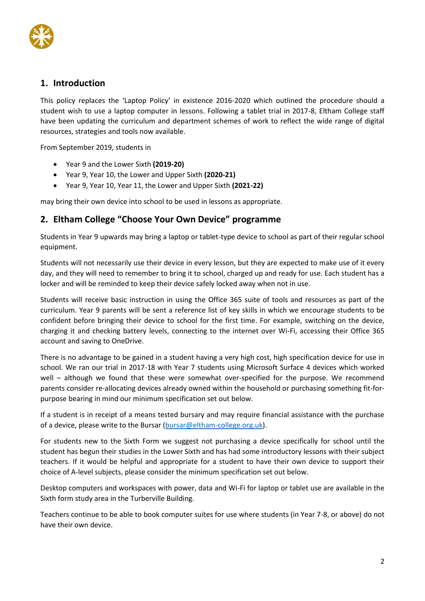

## **1. Introduction**

This policy replaces the 'Laptop Policy' in existence 2016-2020 which outlined the procedure should a student wish to use a laptop computer in lessons. Following a tablet trial in 2017-8, Eltham College staff have been updating the curriculum and department schemes of work to reflect the wide range of digital resources, strategies and tools now available.

From September 2019, students in

- Year 9 and the Lower Sixth **(2019-20)**
- Year 9, Year 10, the Lower and Upper Sixth **(2020-21)**
- Year 9, Year 10, Year 11, the Lower and Upper Sixth **(2021-22)**

may bring their own device into school to be used in lessons as appropriate.

### **2. Eltham College "Choose Your Own Device" programme**

Students in Year 9 upwards may bring a laptop or tablet-type device to school as part of their regular school equipment.

Students will not necessarily use their device in every lesson, but they are expected to make use of it every day, and they will need to remember to bring it to school, charged up and ready for use. Each student has a locker and will be reminded to keep their device safely locked away when not in use.

Students will receive basic instruction in using the Office 365 suite of tools and resources as part of the curriculum. Year 9 parents will be sent a reference list of key skills in which we encourage students to be confident before bringing their device to school for the first time. For example, switching on the device, charging it and checking battery levels, connecting to the internet over Wi-Fi, accessing their Office 365 account and saving to OneDrive.

There is no advantage to be gained in a student having a very high cost, high specification device for use in school. We ran our trial in 2017-18 with Year 7 students using Microsoft Surface 4 devices which worked well – although we found that these were somewhat over-specified for the purpose. We recommend parents consider re-allocating devices already owned within the household or purchasing something fit-forpurpose bearing in mind our minimum specification set out below.

If a student is in receipt of a means tested bursary and may require financial assistance with the purchase of a device, please write to the Bursar [\(bursar@eltham-college.org.uk\)](mailto:bursar@eltham-college.org.uk).

For students new to the Sixth Form we suggest not purchasing a device specifically for school until the student has begun their studies in the Lower Sixth and has had some introductory lessons with their subject teachers. If it would be helpful and appropriate for a student to have their own device to support their choice of A-level subjects, please consider the minimum specification set out below.

Desktop computers and workspaces with power, data and Wi-Fi for laptop or tablet use are available in the Sixth form study area in the Turberville Building.

Teachers continue to be able to book computer suites for use where students (in Year 7-8, or above) do not have their own device.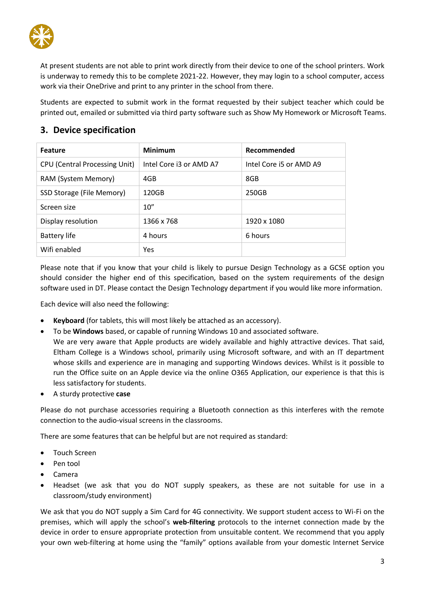

At present students are not able to print work directly from their device to one of the school printers. Work is underway to remedy this to be complete 2021-22. However, they may login to a school computer, access work via their OneDrive and print to any printer in the school from there.

Students are expected to submit work in the format requested by their subject teacher which could be printed out, emailed or submitted via third party software such as Show My Homework or Microsoft Teams.

## **3. Device specification**

| <b>Feature</b>                       | Minimum                 | Recommended             |
|--------------------------------------|-------------------------|-------------------------|
| <b>CPU (Central Processing Unit)</b> | Intel Core i3 or AMD A7 | Intel Core i5 or AMD A9 |
| RAM (System Memory)                  | 4GB                     | 8GB                     |
| SSD Storage (File Memory)            | 120GB                   | 250GB                   |
| Screen size                          | 10''                    |                         |
| Display resolution                   | 1366 x 768              | 1920 x 1080             |
| <b>Battery life</b>                  | 4 hours                 | 6 hours                 |
| Wifi enabled                         | Yes                     |                         |

Please note that if you know that your child is likely to pursue Design Technology as a GCSE option you should consider the higher end of this specification, based on the system requirements of the design software used in DT. Please contact the Design Technology department if you would like more information.

Each device will also need the following:

- **Keyboard** (for tablets, this will most likely be attached as an accessory).
- To be **Windows** based, or capable of running Windows 10 and associated software.
- We are very aware that Apple products are widely available and highly attractive devices. That said, Eltham College is a Windows school, primarily using Microsoft software, and with an IT department whose skills and experience are in managing and supporting Windows devices. Whilst is it possible to run the Office suite on an Apple device via the online O365 Application, our experience is that this is less satisfactory for students.
- A sturdy protective **case**

Please do not purchase accessories requiring a Bluetooth connection as this interferes with the remote connection to the audio-visual screens in the classrooms.

There are some features that can be helpful but are not required as standard:

- Touch Screen
- Pen tool
- Camera
- Headset (we ask that you do NOT supply speakers, as these are not suitable for use in a classroom/study environment)

We ask that you do NOT supply a Sim Card for 4G connectivity. We support student access to Wi-Fi on the premises, which will apply the school's **web-filtering** protocols to the internet connection made by the device in order to ensure appropriate protection from unsuitable content. We recommend that you apply your own web-filtering at home using the "family" options available from your domestic Internet Service